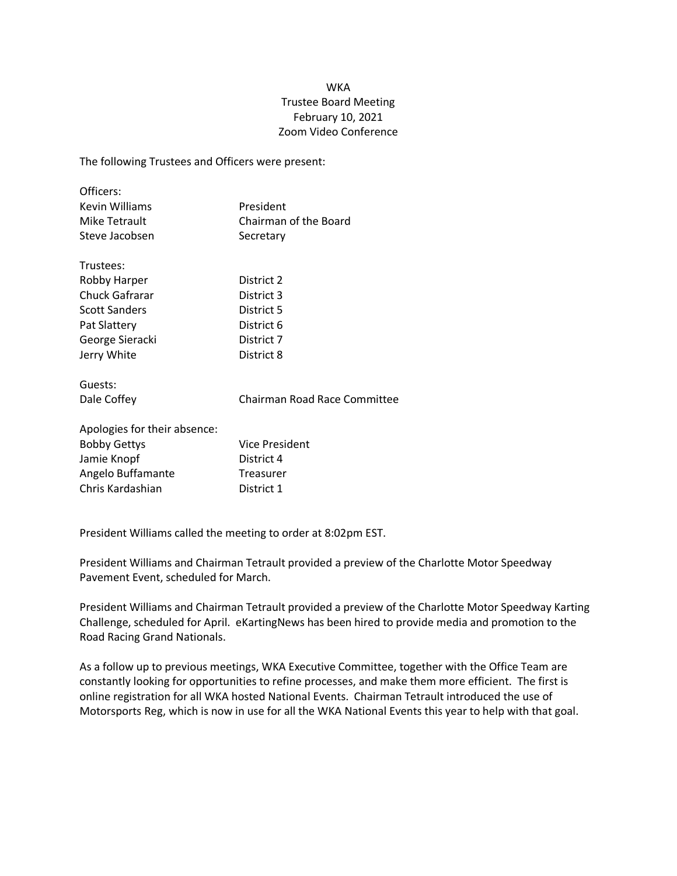## WKA Trustee Board Meeting February 10, 2021 Zoom Video Conference

The following Trustees and Officers were present:

| President             |
|-----------------------|
| Chairman of the Board |
| Secretary             |
|                       |

| TI USLEES.            |            |
|-----------------------|------------|
| Robby Harper          | District 2 |
| <b>Chuck Gafrarar</b> | District 3 |
| <b>Scott Sanders</b>  | District 5 |
| Pat Slattery          | District 6 |
| George Sieracki       | District 7 |
| Jerry White           | District 8 |

Guests:

Tructooc:

Dale Coffey **Chairman Road Race Committee** 

| Apologies for their absence: |                       |
|------------------------------|-----------------------|
| <b>Bobby Gettys</b>          | <b>Vice President</b> |
| Jamie Knopf                  | District 4            |
| Angelo Buffamante            | Treasurer             |
| Chris Kardashian             | District 1            |

President Williams called the meeting to order at 8:02pm EST.

President Williams and Chairman Tetrault provided a preview of the Charlotte Motor Speedway Pavement Event, scheduled for March.

President Williams and Chairman Tetrault provided a preview of the Charlotte Motor Speedway Karting Challenge, scheduled for April. eKartingNews has been hired to provide media and promotion to the Road Racing Grand Nationals.

As a follow up to previous meetings, WKA Executive Committee, together with the Office Team are constantly looking for opportunities to refine processes, and make them more efficient. The first is online registration for all WKA hosted National Events. Chairman Tetrault introduced the use of Motorsports Reg, which is now in use for all the WKA National Events this year to help with that goal.